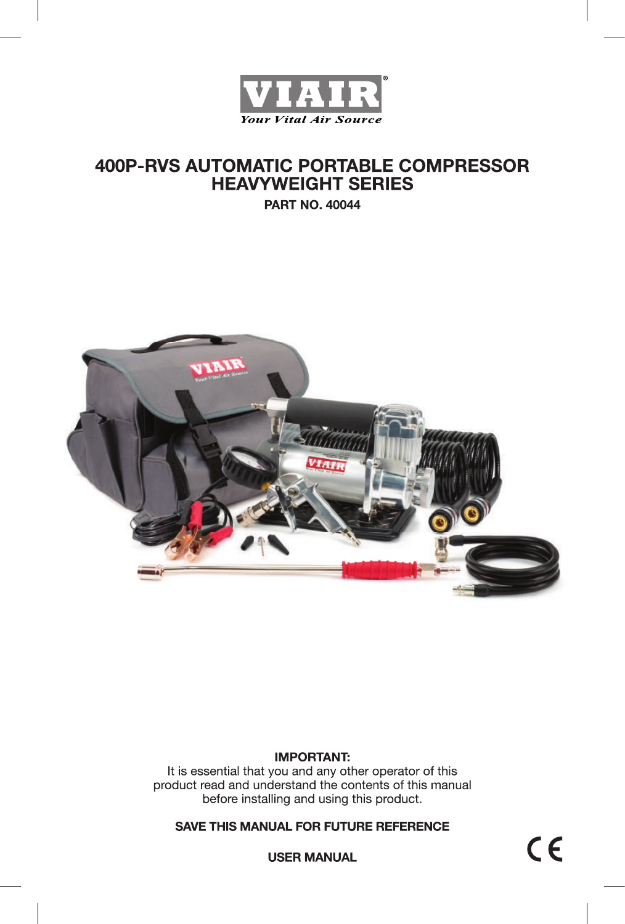

# **400P-RVS AUTOMATIC PORTABLE COMPRESSOR HEAVYWEIGHT SERIES**

**PART NO. 40044** 



### **IMPORTANT:**

It is essential that you and any other operator of this product read and understand the contents of this manual before installing and using this product.

### **SAVE THIS MANUAL FOR FUTURE REFERENCE**

 $C \in$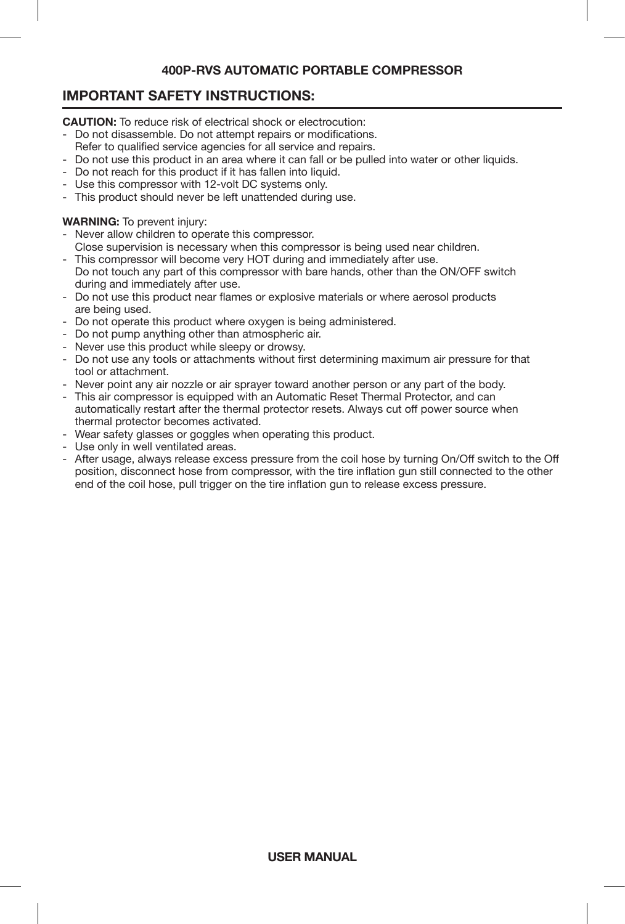### **IMPORTANT SAFETY INSTRUCTIONS:**

**CAUTION:** To reduce risk of electrical shock or electrocution:

- Do not disassemble. Do not attempt repairs or modifications.
- Refer to qualified service agencies for all service and repairs.
- Do not use this product in an area where it can fall or be pulled into water or other liquids.
- Do not reach for this product if it has fallen into liquid.
- Use this compressor with 12-volt DC systems only.
- This product should never be left unattended during use.

#### **WARNING:** To prevent injury:

- Never allow children to operate this compressor.
- Close supervision is necessary when this compressor is being used near children.
- This compressor will become very HOT during and immediately after use. Do not touch any part of this compressor with bare hands, other than the ON/OFF switch during and immediately after use.
- Do not use this product near flames or explosive materials or where aerosol products are being used.
- Do not operate this product where oxygen is being administered.
- Do not pump anything other than atmospheric air.
- Never use this product while sleepy or drowsy.
- Do not use any tools or attachments without first determining maximum air pressure for that tool or attachment.
- Never point any air nozzle or air sprayer toward another person or any part of the body.
- This air compressor is equipped with an Automatic Reset Thermal Protector, and can automatically restart after the thermal protector resets. Always cut off power source when thermal protector becomes activated.
- Wear safety glasses or goggles when operating this product.
- Use only in well ventilated areas.
- After usage, always release excess pressure from the coil hose by turning On/Off switch to the Off position, disconnect hose from compressor, with the tire inflation gun still connected to the other end of the coil hose, pull trigger on the tire inflation gun to release excess pressure.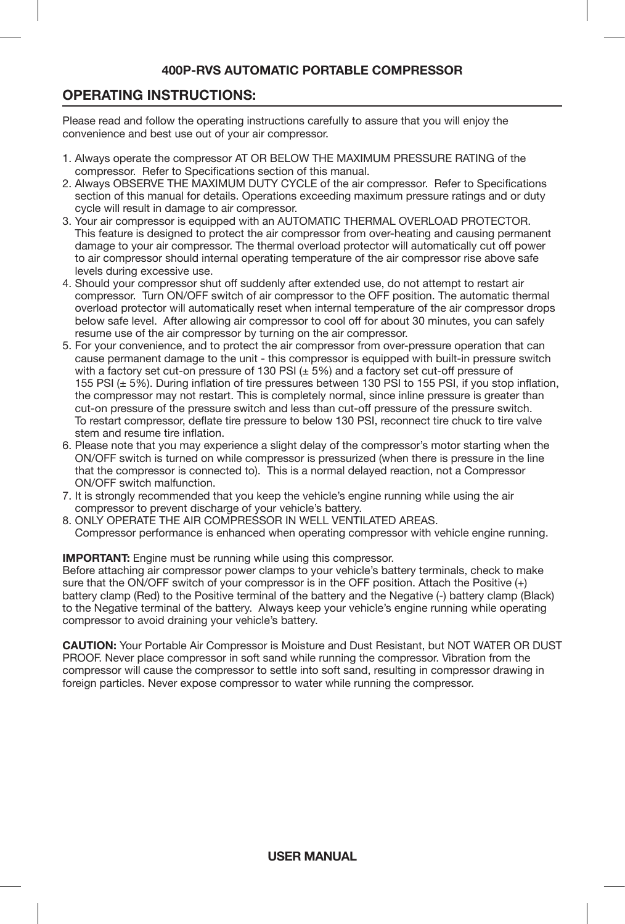### **OPERATING INSTRUCTIONS:**

Please read and follow the operating instructions carefully to assure that you will enjoy the convenience and best use out of your air compressor.

- 1. Always operate the compressor AT OR BELOW THE MAXIMUM PRESSURE RATING of the compressor. Refer to Specifications section of this manual.
- 2. Always OBSERVE THE MAXIMUM DUTY CYCLE of the air compressor. Refer to Specifications section of this manual for details. Operations exceeding maximum pressure ratings and or duty cycle will result in damage to air compressor.
- 3. Your air compressor is equipped with an AUTOMATIC THERMAL OVERLOAD PROTECTOR. This feature is designed to protect the air compressor from over-heating and causing permanent damage to your air compressor. The thermal overload protector will automatically cut off power to air compressor should internal operating temperature of the air compressor rise above safe levels during excessive use.
- 4. Should your compressor shut off suddenly after extended use, do not attempt to restart air compressor. Turn ON/OFF switch of air compressor to the OFF position. The automatic thermal overload protector will automatically reset when internal temperature of the air compressor drops below safe level. After allowing air compressor to cool off for about 30 minutes, you can safely resume use of the air compressor by turning on the air compressor.
- 5. For your convenience, and to protect the air compressor from over-pressure operation that can cause permanent damage to the unit - this compressor is equipped with built-in pressure switch with a factory set cut-on pressure of 130 PSI  $(\pm 5\%)$  and a factory set cut-off pressure of 155 PSI (± 5%). During inflation of tire pressures between 130 PSI to 155 PSI, if you stop inflation, the compressor may not restart. This is completely normal, since inline pressure is greater than cut-on pressure of the pressure switch and less than cut-off pressure of the pressure switch. To restart compressor, deflate tire pressure to below 130 PSI, reconnect tire chuck to tire valve stem and resume tire inflation.
- 6. Please note that you may experience a slight delay of the compressor's motor starting when the ON/OFF switch is turned on while compressor is pressurized (when there is pressure in the line that the compressor is connected to). This is a normal delayed reaction, not a Compressor ON/OFF switch malfunction.
- 7. It is strongly recommended that you keep the vehicle's engine running while using the air compressor to prevent discharge of your vehicle's battery.
- 8. ONLY OPERATE THE AIR COMPRESSOR IN WELL VENTILATED AREAS. Compressor performance is enhanced when operating compressor with vehicle engine running.

**IMPORTANT:** Engine must be running while using this compressor.

Before attaching air compressor power clamps to your vehicle's battery terminals, check to make sure that the ON/OFF switch of your compressor is in the OFF position. Attach the Positive (+) battery clamp (Red) to the Positive terminal of the battery and the Negative (-) battery clamp (Black) to the Negative terminal of the battery. Always keep your vehicle's engine running while operating compressor to avoid draining your vehicle's battery.

**CAUTION:** Your Portable Air Compressor is Moisture and Dust Resistant, but NOT WATER OR DUST PROOF. Never place compressor in soft sand while running the compressor. Vibration from the compressor will cause the compressor to settle into soft sand, resulting in compressor drawing in foreign particles. Never expose compressor to water while running the compressor.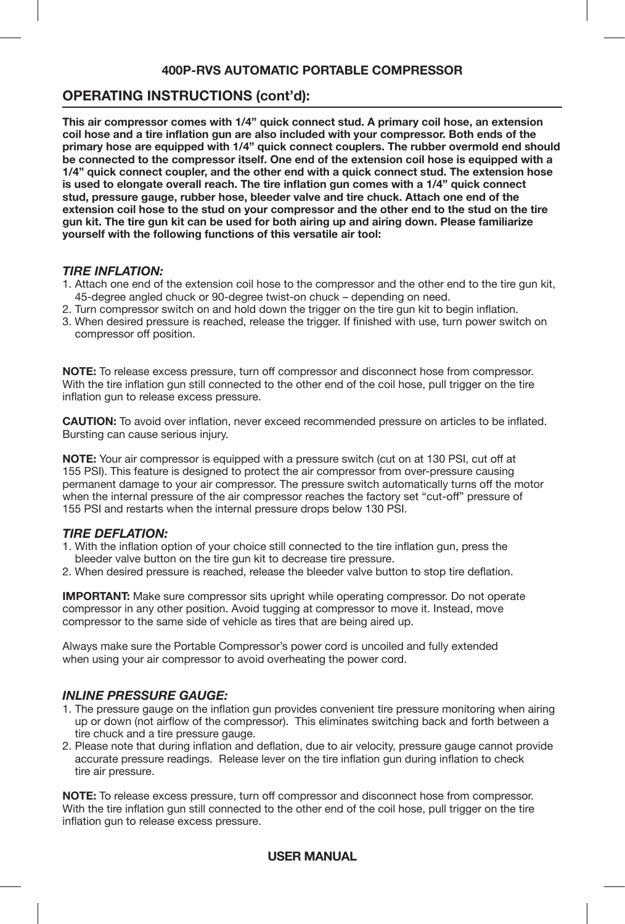### **OPERATING INSTRUCTIONS (cont'd):**

**This air compressor comes with 1/4" quick connect stud. A primary coil hose, an extension coil hose and a tire inflation gun are also included with your compressor. Both ends of the primary hose are equipped with 1/4" quick connect couplers. The rubber overmold end should be connected to the compressor itself. One end of the extension coil hose is equipped with a 1/4" quick connect coupler, and the other end with a quick connect stud. The extension hose is used to elongate overall reach. The tire inflation gun comes with a 1/4" quick connect stud, pressure gauge, rubber hose, bleeder valve and tire chuck. Attach one end of the extension coil hose to the stud on your compressor and the other end to the stud on the tire gun kit. The tire gun kit can be used for both airing up and airing down. Please familiarize yourself with the following functions of this versatile air tool:**

#### *TIRE INFLATION:*

- 1. Attach one end of the extension coil hose to the compressor and the other end to the tire gun kit, 45-degree angled chuck or 90-degree twist-on chuck – depending on need.
- 2. Turn compressor switch on and hold down the trigger on the tire gun kit to begin inflation.
- 3. When desired pressure is reached, release the trigger. If finished with use, turn power switch on compressor off position.

**NOTE:** To release excess pressure, turn off compressor and disconnect hose from compressor. With the tire inflation gun still connected to the other end of the coil hose, pull trigger on the tire inflation gun to release excess pressure.

**CAUTION:** To avoid over inflation, never exceed recommended pressure on articles to be inflated. Bursting can cause serious injury.

**NOTE:** Your air compressor is equipped with a pressure switch (cut on at 130 PSI, cut off at 155 PSI). This feature is designed to protect the air compressor from over-pressure causing permanent damage to your air compressor. The pressure switch automatically turns off the motor when the internal pressure of the air compressor reaches the factory set "cut-off" pressure of 155 PSI and restarts when the internal pressure drops below 130 PSI.

#### *TIRE DEFLATION:*

- 1. With the inflation option of your choice still connected to the tire inflation gun, press the bleeder valve button on the tire gun kit to decrease tire pressure.
- 2. When desired pressure is reached, release the bleeder valve button to stop tire deflation.

**IMPORTANT:** Make sure compressor sits upright while operating compressor. Do not operate compressor in any other position. Avoid tugging at compressor to move it. Instead, move compressor to the same side of vehicle as tires that are being aired up.

Always make sure the Portable Compressor's power cord is uncoiled and fully extended when using your air compressor to avoid overheating the power cord.

#### *INLINE PRESSURE GAUGE:*

- 1. The pressure gauge on the inflation gun provides convenient tire pressure monitoring when airing up or down (not airflow of the compressor). This eliminates switching back and forth between a tire chuck and a tire pressure gauge.
- 2. Please note that during inflation and deflation, due to air velocity, pressure gauge cannot provide accurate pressure readings. Release lever on the tire inflation gun during inflation to check tire air pressure.

**NOTE:** To release excess pressure, turn off compressor and disconnect hose from compressor. With the tire inflation gun still connected to the other end of the coil hose, pull trigger on the tire inflation gun to release excess pressure.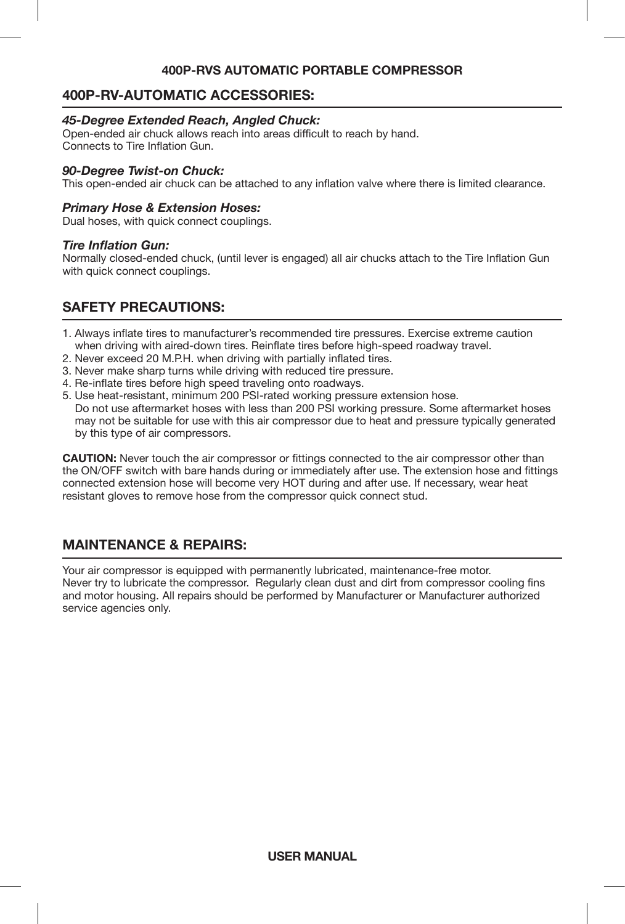### **400P-RV-AUTOMATIC ACCESSORIES:**

#### *45-Degree Extended Reach, Angled Chuck:*

Open-ended air chuck allows reach into areas difficult to reach by hand. Connects to Tire Inflation Gun.

#### *90-Degree Twist-on Chuck:*

This open-ended air chuck can be attached to any inflation valve where there is limited clearance.

#### *Primary Hose & Extension Hoses:*

Dual hoses, with quick connect couplings.

#### *Tire Inflation Gun:*

Normally closed-ended chuck, (until lever is engaged) all air chucks attach to the Tire Inflation Gun with quick connect couplings.

### **SAFETY PRECAUTIONS:**

- 1. Always inflate tires to manufacturer's recommended tire pressures. Exercise extreme caution when driving with aired-down tires. Reinflate tires before high-speed roadway travel.
- 2. Never exceed 20 M.P.H. when driving with partially inflated tires.
- 3. Never make sharp turns while driving with reduced tire pressure.
- 4. Re-inflate tires before high speed traveling onto roadways.
- 5. Use heat-resistant, minimum 200 PSI-rated working pressure extension hose. Do not use aftermarket hoses with less than 200 PSI working pressure. Some aftermarket hoses may not be suitable for use with this air compressor due to heat and pressure typically generated by this type of air compressors.

**CAUTION:** Never touch the air compressor or fittings connected to the air compressor other than the ON/OFF switch with bare hands during or immediately after use. The extension hose and fittings connected extension hose will become very HOT during and after use. If necessary, wear heat resistant gloves to remove hose from the compressor quick connect stud.

### **MAINTENANCE & REPAIRS:**

Your air compressor is equipped with permanently lubricated, maintenance-free motor. Never try to lubricate the compressor. Regularly clean dust and dirt from compressor cooling fins and motor housing. All repairs should be performed by Manufacturer or Manufacturer authorized service agencies only.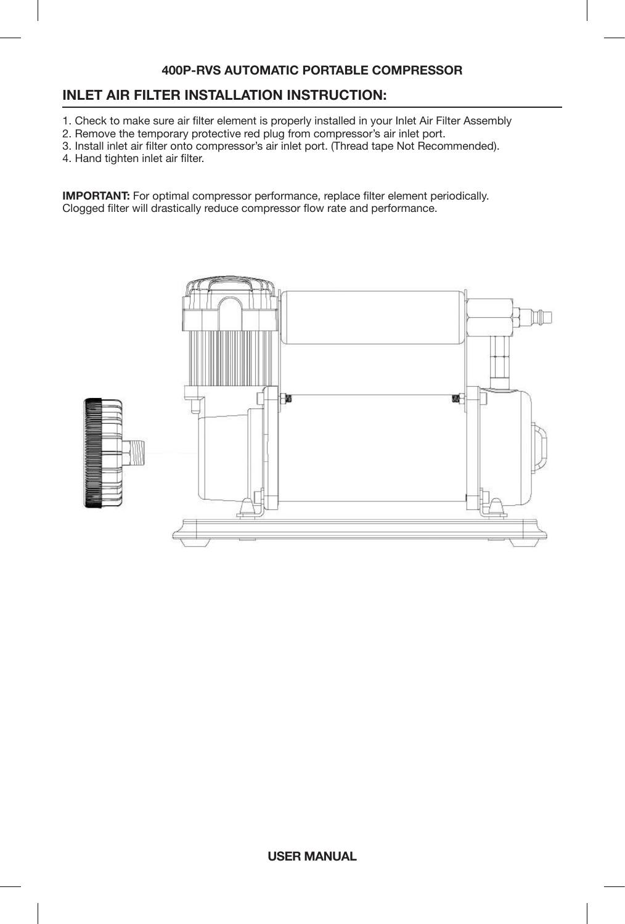### **INLET AIR FILTER INSTALLATION INSTRUCTION:**

- 1. Check to make sure air filter element is properly installed in your Inlet Air Filter Assembly
- 2. Remove the temporary protective red plug from compressor's air inlet port.
- 3. Install inlet air filter onto compressor's air inlet port. (Thread tape Not Recommended).
- 4. Hand tighten inlet air filter.

**IMPORTANT:** For optimal compressor performance, replace filter element periodically. Clogged filter will drastically reduce compressor flow rate and performance.

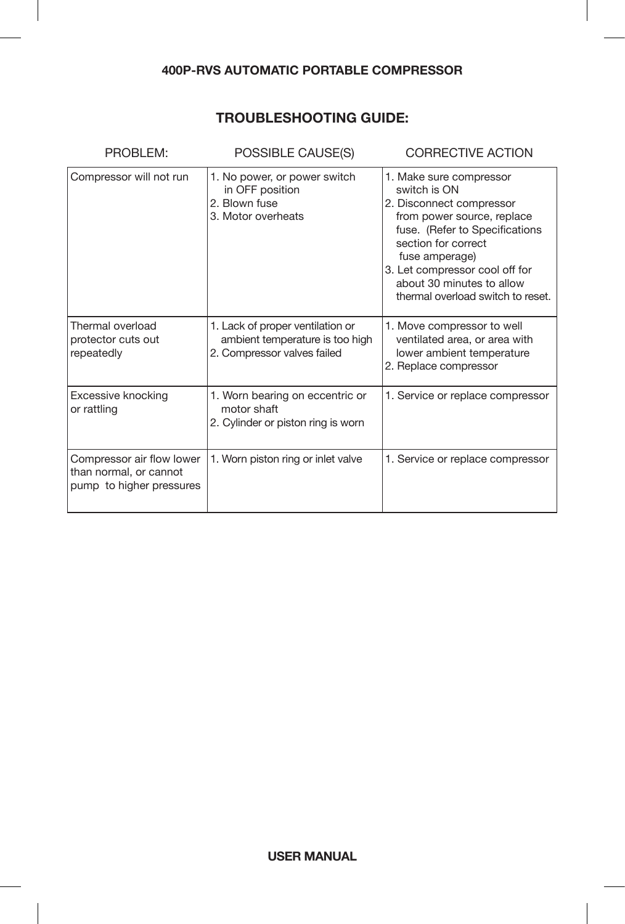# **TROUBLESHOOTING GUIDE:**

| PROBLEM:                                                                        | POSSIBLE CAUSE(S)                                                                                  | <b>CORRECTIVE ACTION</b>                                                                                                                                                                                                                                                         |
|---------------------------------------------------------------------------------|----------------------------------------------------------------------------------------------------|----------------------------------------------------------------------------------------------------------------------------------------------------------------------------------------------------------------------------------------------------------------------------------|
| Compressor will not run                                                         | 1. No power, or power switch<br>in OFF position<br>2. Blown fuse<br>3. Motor overheats             | 1. Make sure compressor<br>switch is ON<br>2. Disconnect compressor<br>from power source, replace<br>fuse. (Refer to Specifications<br>section for correct<br>fuse amperage)<br>3. Let compressor cool off for<br>about 30 minutes to allow<br>thermal overload switch to reset. |
| Thermal overload<br>protector cuts out<br>repeatedly                            | 1. Lack of proper ventilation or<br>ambient temperature is too high<br>2. Compressor valves failed | 1. Move compressor to well<br>ventilated area, or area with<br>lower ambient temperature<br>2. Replace compressor                                                                                                                                                                |
| Excessive knocking<br>or rattling                                               | 1. Worn bearing on eccentric or<br>motor shaft<br>2. Cylinder or piston ring is worn               | 1. Service or replace compressor                                                                                                                                                                                                                                                 |
| Compressor air flow lower<br>than normal, or cannot<br>pump to higher pressures | 1. Worn piston ring or inlet valve                                                                 | 1. Service or replace compressor                                                                                                                                                                                                                                                 |